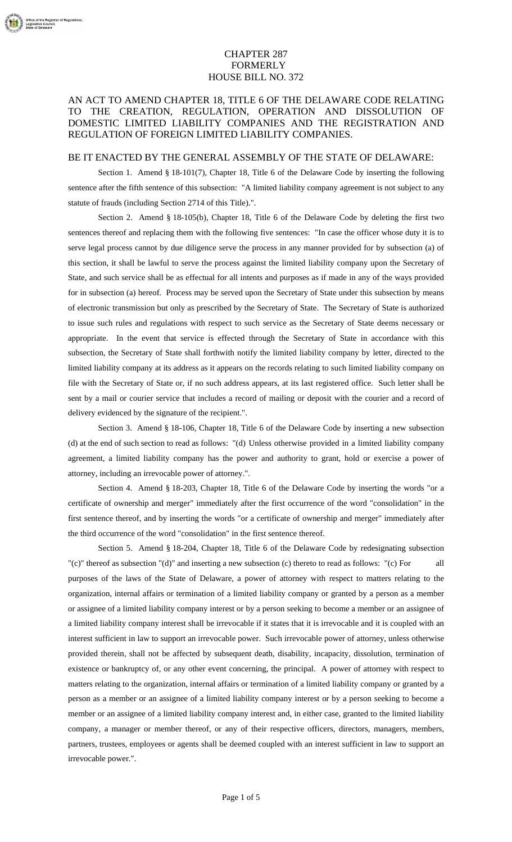## CHAPTER 287 FORMERLY HOUSE BILL NO. 372

## AN ACT TO AMEND CHAPTER 18, TITLE 6 OF THE DELAWARE CODE RELATING TO THE CREATION, REGULATION, OPERATION AND DISSOLUTION OF DOMESTIC LIMITED LIABILITY COMPANIES AND THE REGISTRATION AND REGULATION OF FOREIGN LIMITED LIABILITY COMPANIES.

## BE IT ENACTED BY THE GENERAL ASSEMBLY OF THE STATE OF DELAWARE:

Section 1. Amend § 18-101(7), Chapter 18, Title 6 of the Delaware Code by inserting the following sentence after the fifth sentence of this subsection: "A limited liability company agreement is not subject to any statute of frauds (including Section 2714 of this Title).".

Section 2. Amend § 18-105(b), Chapter 18, Title 6 of the Delaware Code by deleting the first two sentences thereof and replacing them with the following five sentences: "In case the officer whose duty it is to serve legal process cannot by due diligence serve the process in any manner provided for by subsection (a) of this section, it shall be lawful to serve the process against the limited liability company upon the Secretary of State, and such service shall be as effectual for all intents and purposes as if made in any of the ways provided for in subsection (a) hereof. Process may be served upon the Secretary of State under this subsection by means of electronic transmission but only as prescribed by the Secretary of State. The Secretary of State is authorized to issue such rules and regulations with respect to such service as the Secretary of State deems necessary or appropriate. In the event that service is effected through the Secretary of State in accordance with this subsection, the Secretary of State shall forthwith notify the limited liability company by letter, directed to the limited liability company at its address as it appears on the records relating to such limited liability company on file with the Secretary of State or, if no such address appears, at its last registered office. Such letter shall be sent by a mail or courier service that includes a record of mailing or deposit with the courier and a record of delivery evidenced by the signature of the recipient.".

Section 3. Amend § 18-106, Chapter 18, Title 6 of the Delaware Code by inserting a new subsection (d) at the end of such section to read as follows: "(d) Unless otherwise provided in a limited liability company agreement, a limited liability company has the power and authority to grant, hold or exercise a power of attorney, including an irrevocable power of attorney.".

Section 4. Amend § 18-203, Chapter 18, Title 6 of the Delaware Code by inserting the words "or a certificate of ownership and merger" immediately after the first occurrence of the word "consolidation" in the first sentence thereof, and by inserting the words "or a certificate of ownership and merger" immediately after the third occurrence of the word "consolidation" in the first sentence thereof.

Section 5. Amend § 18-204, Chapter 18, Title 6 of the Delaware Code by redesignating subsection "(c)" thereof as subsection "(d)" and inserting a new subsection (c) thereto to read as follows: "(c) For all purposes of the laws of the State of Delaware, a power of attorney with respect to matters relating to the organization, internal affairs or termination of a limited liability company or granted by a person as a member or assignee of a limited liability company interest or by a person seeking to become a member or an assignee of a limited liability company interest shall be irrevocable if it states that it is irrevocable and it is coupled with an interest sufficient in law to support an irrevocable power. Such irrevocable power of attorney, unless otherwise provided therein, shall not be affected by subsequent death, disability, incapacity, dissolution, termination of existence or bankruptcy of, or any other event concerning, the principal. A power of attorney with respect to matters relating to the organization, internal affairs or termination of a limited liability company or granted by a person as a member or an assignee of a limited liability company interest or by a person seeking to become a member or an assignee of a limited liability company interest and, in either case, granted to the limited liability company, a manager or member thereof, or any of their respective officers, directors, managers, members, partners, trustees, employees or agents shall be deemed coupled with an interest sufficient in law to support an irrevocable power.".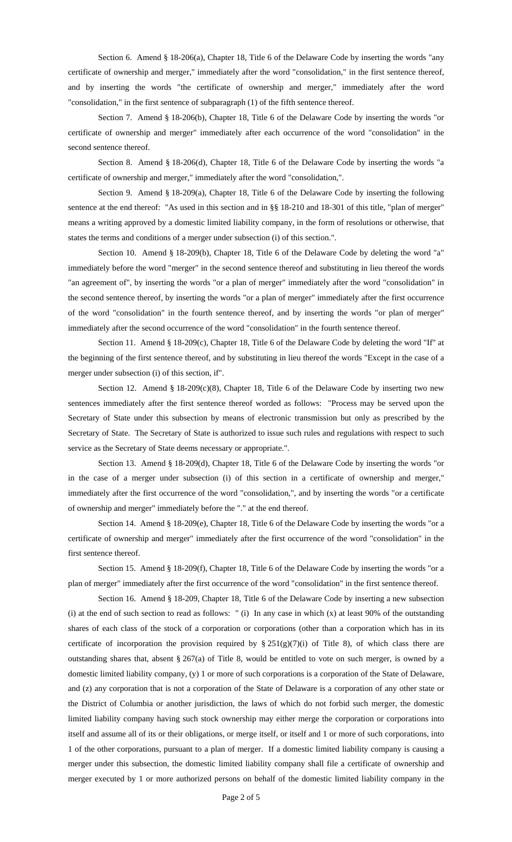Section 6. Amend § 18-206(a), Chapter 18, Title 6 of the Delaware Code by inserting the words "any certificate of ownership and merger," immediately after the word "consolidation," in the first sentence thereof, and by inserting the words "the certificate of ownership and merger," immediately after the word "consolidation," in the first sentence of subparagraph (1) of the fifth sentence thereof.

Section 7. Amend § 18-206(b), Chapter 18, Title 6 of the Delaware Code by inserting the words "or certificate of ownership and merger" immediately after each occurrence of the word "consolidation" in the second sentence thereof.

Section 8. Amend § 18-206(d), Chapter 18, Title 6 of the Delaware Code by inserting the words "a certificate of ownership and merger," immediately after the word "consolidation,".

Section 9. Amend § 18-209(a), Chapter 18, Title 6 of the Delaware Code by inserting the following sentence at the end thereof: "As used in this section and in §§ 18-210 and 18-301 of this title, "plan of merger" means a writing approved by a domestic limited liability company, in the form of resolutions or otherwise, that states the terms and conditions of a merger under subsection (i) of this section.".

Section 10. Amend § 18-209(b), Chapter 18, Title 6 of the Delaware Code by deleting the word "a" immediately before the word "merger" in the second sentence thereof and substituting in lieu thereof the words "an agreement of", by inserting the words "or a plan of merger" immediately after the word "consolidation" in the second sentence thereof, by inserting the words "or a plan of merger" immediately after the first occurrence of the word "consolidation" in the fourth sentence thereof, and by inserting the words "or plan of merger" immediately after the second occurrence of the word "consolidation" in the fourth sentence thereof.

Section 11. Amend § 18-209(c), Chapter 18, Title 6 of the Delaware Code by deleting the word "If" at the beginning of the first sentence thereof, and by substituting in lieu thereof the words "Except in the case of a merger under subsection (i) of this section, if".

Section 12. Amend § 18-209(c)(8), Chapter 18, Title 6 of the Delaware Code by inserting two new sentences immediately after the first sentence thereof worded as follows: "Process may be served upon the Secretary of State under this subsection by means of electronic transmission but only as prescribed by the Secretary of State. The Secretary of State is authorized to issue such rules and regulations with respect to such service as the Secretary of State deems necessary or appropriate.".

Section 13. Amend § 18-209(d), Chapter 18, Title 6 of the Delaware Code by inserting the words "or in the case of a merger under subsection (i) of this section in a certificate of ownership and merger," immediately after the first occurrence of the word "consolidation,", and by inserting the words "or a certificate of ownership and merger" immediately before the "." at the end thereof.

Section 14. Amend § 18-209(e), Chapter 18, Title 6 of the Delaware Code by inserting the words "or a certificate of ownership and merger" immediately after the first occurrence of the word "consolidation" in the first sentence thereof.

Section 15. Amend § 18-209(f), Chapter 18, Title 6 of the Delaware Code by inserting the words "or a plan of merger" immediately after the first occurrence of the word "consolidation" in the first sentence thereof.

Section 16. Amend § 18-209, Chapter 18, Title 6 of the Delaware Code by inserting a new subsection  $(i)$  at the end of such section to read as follows: " $(i)$  In any case in which  $(x)$  at least 90% of the outstanding shares of each class of the stock of a corporation or corporations (other than a corporation which has in its certificate of incorporation the provision required by  $\S 251(g)(7)(i)$  of Title 8), of which class there are outstanding shares that, absent § 267(a) of Title 8, would be entitled to vote on such merger, is owned by a domestic limited liability company, (y) 1 or more of such corporations is a corporation of the State of Delaware, and (z) any corporation that is not a corporation of the State of Delaware is a corporation of any other state or the District of Columbia or another jurisdiction, the laws of which do not forbid such merger, the domestic limited liability company having such stock ownership may either merge the corporation or corporations into itself and assume all of its or their obligations, or merge itself, or itself and 1 or more of such corporations, into 1 of the other corporations, pursuant to a plan of merger. If a domestic limited liability company is causing a merger under this subsection, the domestic limited liability company shall file a certificate of ownership and merger executed by 1 or more authorized persons on behalf of the domestic limited liability company in the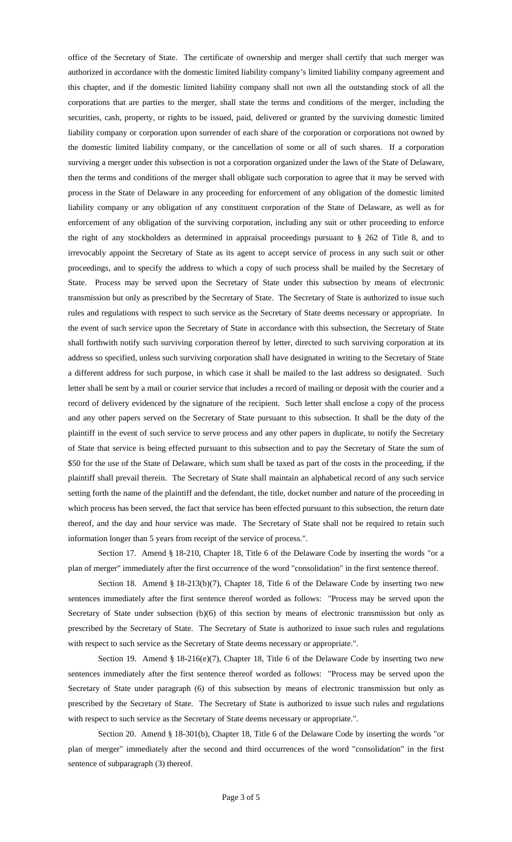office of the Secretary of State. The certificate of ownership and merger shall certify that such merger was authorized in accordance with the domestic limited liability company's limited liability company agreement and this chapter, and if the domestic limited liability company shall not own all the outstanding stock of all the corporations that are parties to the merger, shall state the terms and conditions of the merger, including the securities, cash, property, or rights to be issued, paid, delivered or granted by the surviving domestic limited liability company or corporation upon surrender of each share of the corporation or corporations not owned by the domestic limited liability company, or the cancellation of some or all of such shares. If a corporation surviving a merger under this subsection is not a corporation organized under the laws of the State of Delaware, then the terms and conditions of the merger shall obligate such corporation to agree that it may be served with process in the State of Delaware in any proceeding for enforcement of any obligation of the domestic limited liability company or any obligation of any constituent corporation of the State of Delaware, as well as for enforcement of any obligation of the surviving corporation, including any suit or other proceeding to enforce the right of any stockholders as determined in appraisal proceedings pursuant to § 262 of Title 8, and to irrevocably appoint the Secretary of State as its agent to accept service of process in any such suit or other proceedings, and to specify the address to which a copy of such process shall be mailed by the Secretary of State. Process may be served upon the Secretary of State under this subsection by means of electronic transmission but only as prescribed by the Secretary of State. The Secretary of State is authorized to issue such rules and regulations with respect to such service as the Secretary of State deems necessary or appropriate. In the event of such service upon the Secretary of State in accordance with this subsection, the Secretary of State shall forthwith notify such surviving corporation thereof by letter, directed to such surviving corporation at its address so specified, unless such surviving corporation shall have designated in writing to the Secretary of State a different address for such purpose, in which case it shall be mailed to the last address so designated. Such letter shall be sent by a mail or courier service that includes a record of mailing or deposit with the courier and a record of delivery evidenced by the signature of the recipient. Such letter shall enclose a copy of the process and any other papers served on the Secretary of State pursuant to this subsection. It shall be the duty of the plaintiff in the event of such service to serve process and any other papers in duplicate, to notify the Secretary of State that service is being effected pursuant to this subsection and to pay the Secretary of State the sum of \$50 for the use of the State of Delaware, which sum shall be taxed as part of the costs in the proceeding, if the plaintiff shall prevail therein. The Secretary of State shall maintain an alphabetical record of any such service setting forth the name of the plaintiff and the defendant, the title, docket number and nature of the proceeding in which process has been served, the fact that service has been effected pursuant to this subsection, the return date thereof, and the day and hour service was made. The Secretary of State shall not be required to retain such information longer than 5 years from receipt of the service of process.".

Section 17. Amend § 18-210, Chapter 18, Title 6 of the Delaware Code by inserting the words "or a plan of merger" immediately after the first occurrence of the word "consolidation" in the first sentence thereof.

Section 18. Amend § 18-213(b)(7), Chapter 18, Title 6 of the Delaware Code by inserting two new sentences immediately after the first sentence thereof worded as follows: "Process may be served upon the Secretary of State under subsection (b)(6) of this section by means of electronic transmission but only as prescribed by the Secretary of State. The Secretary of State is authorized to issue such rules and regulations with respect to such service as the Secretary of State deems necessary or appropriate.".

Section 19. Amend § 18-216(e)(7), Chapter 18, Title 6 of the Delaware Code by inserting two new sentences immediately after the first sentence thereof worded as follows: "Process may be served upon the Secretary of State under paragraph (6) of this subsection by means of electronic transmission but only as prescribed by the Secretary of State. The Secretary of State is authorized to issue such rules and regulations with respect to such service as the Secretary of State deems necessary or appropriate.".

Section 20. Amend § 18-301(b), Chapter 18, Title 6 of the Delaware Code by inserting the words "or plan of merger" immediately after the second and third occurrences of the word "consolidation" in the first sentence of subparagraph (3) thereof.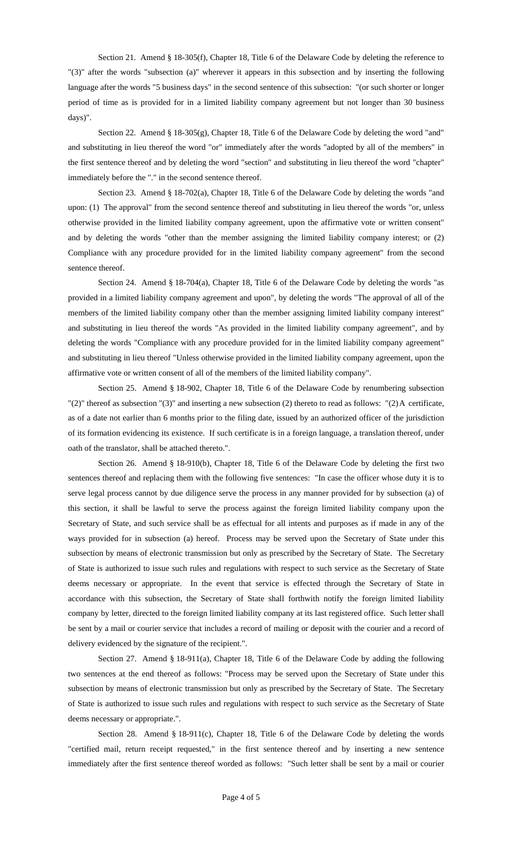Section 21. Amend § 18-305(f), Chapter 18, Title 6 of the Delaware Code by deleting the reference to "(3)" after the words "subsection (a)" wherever it appears in this subsection and by inserting the following language after the words "5 business days" in the second sentence of this subsection: "(or such shorter or longer period of time as is provided for in a limited liability company agreement but not longer than 30 business days)".

Section 22. Amend § 18-305(g), Chapter 18, Title 6 of the Delaware Code by deleting the word "and" and substituting in lieu thereof the word "or" immediately after the words "adopted by all of the members" in the first sentence thereof and by deleting the word "section" and substituting in lieu thereof the word "chapter" immediately before the "." in the second sentence thereof.

Section 23. Amend § 18-702(a), Chapter 18, Title 6 of the Delaware Code by deleting the words "and upon: (1) The approval" from the second sentence thereof and substituting in lieu thereof the words "or, unless otherwise provided in the limited liability company agreement, upon the affirmative vote or written consent" and by deleting the words "other than the member assigning the limited liability company interest; or (2) Compliance with any procedure provided for in the limited liability company agreement" from the second sentence thereof.

Section 24. Amend § 18-704(a), Chapter 18, Title 6 of the Delaware Code by deleting the words "as provided in a limited liability company agreement and upon", by deleting the words "The approval of all of the members of the limited liability company other than the member assigning limited liability company interest" and substituting in lieu thereof the words "As provided in the limited liability company agreement", and by deleting the words "Compliance with any procedure provided for in the limited liability company agreement" and substituting in lieu thereof "Unless otherwise provided in the limited liability company agreement, upon the affirmative vote or written consent of all of the members of the limited liability company".

Section 25. Amend § 18-902, Chapter 18, Title 6 of the Delaware Code by renumbering subsection "(2)" thereof as subsection "(3)" and inserting a new subsection (2) thereto to read as follows: "(2) A certificate, as of a date not earlier than 6 months prior to the filing date, issued by an authorized officer of the jurisdiction of its formation evidencing its existence. If such certificate is in a foreign language, a translation thereof, under oath of the translator, shall be attached thereto.".

Section 26. Amend § 18-910(b), Chapter 18, Title 6 of the Delaware Code by deleting the first two sentences thereof and replacing them with the following five sentences: "In case the officer whose duty it is to serve legal process cannot by due diligence serve the process in any manner provided for by subsection (a) of this section, it shall be lawful to serve the process against the foreign limited liability company upon the Secretary of State, and such service shall be as effectual for all intents and purposes as if made in any of the ways provided for in subsection (a) hereof. Process may be served upon the Secretary of State under this subsection by means of electronic transmission but only as prescribed by the Secretary of State. The Secretary of State is authorized to issue such rules and regulations with respect to such service as the Secretary of State deems necessary or appropriate. In the event that service is effected through the Secretary of State in accordance with this subsection, the Secretary of State shall forthwith notify the foreign limited liability company by letter, directed to the foreign limited liability company at its last registered office. Such letter shall be sent by a mail or courier service that includes a record of mailing or deposit with the courier and a record of delivery evidenced by the signature of the recipient.".

Section 27. Amend § 18-911(a), Chapter 18, Title 6 of the Delaware Code by adding the following two sentences at the end thereof as follows: "Process may be served upon the Secretary of State under this subsection by means of electronic transmission but only as prescribed by the Secretary of State. The Secretary of State is authorized to issue such rules and regulations with respect to such service as the Secretary of State deems necessary or appropriate.".

Section 28. Amend § 18-911(c), Chapter 18, Title 6 of the Delaware Code by deleting the words "certified mail, return receipt requested," in the first sentence thereof and by inserting a new sentence immediately after the first sentence thereof worded as follows: "Such letter shall be sent by a mail or courier